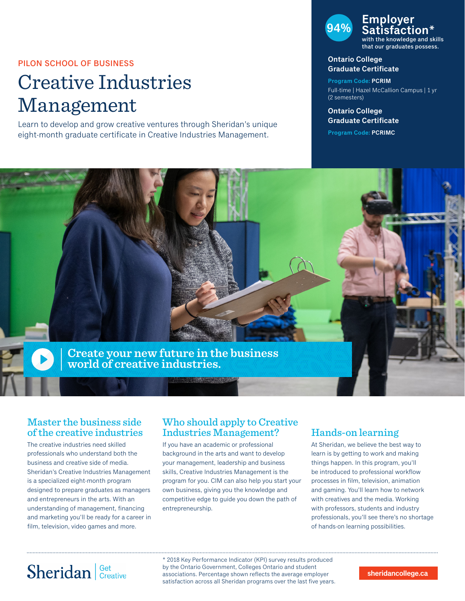### PILON SCHOOL OF BUSINESS

# Creative Industries Management

Learn to develop and grow creative ventures through Sheridan's unique eight-month graduate certificate in Creative Industries Management.

#### **94% Employer Satisfaction\*** with the knowledge and skills that our graduates possess.

#### **Ontario College Graduate Certificate**

**Program Code: PCRIM** Full-time | Hazel McCallion Campus | 1 yr (2 semesters)

#### **Ontario College Graduate Certificate**

**Program Code: PCRIMC**



## Master the business side of the creative industries

The creative industries need skilled professionals who understand both the business and creative side of media. Sheridan's Creative Industries Management is a specialized eight-month program designed to prepare graduates as managers and entrepreneurs in the arts. With an understanding of management, financing and marketing you'll be ready for a career in film, television, video games and more.

## Who should apply to Creative Industries Management?

If you have an academic or professional background in the arts and want to develop your management, leadership and business skills, Creative Industries Management is the program for you. CIM can also help you start your own business, giving you the knowledge and competitive edge to guide you down the path of entrepreneurship.

# Hands-on learning

At Sheridan, we believe the best way to learn is by getting to work and making things happen. In this program, you'll be introduced to professional workflow processes in film, television, animation and gaming. You'll learn how to network with creatives and the media. Working with professors, students and industry professionals, you'll see there's no shortage of hands-on learning possibilities.

# Sheridan | Get Creative

\* 2018 Key Performance Indicator (KPI) survey results produced by the Ontario Government, Colleges Ontario and student associations. Percentage shown reflects the average employer satisfaction across all Sheridan programs over the last five years.